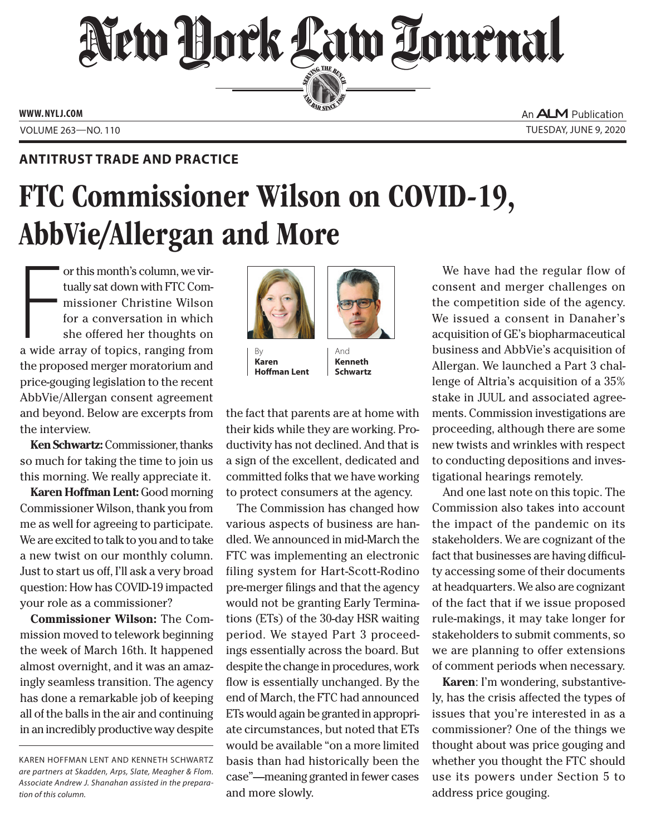## New Dock Law Lournal SERVING THE BET

**ED BAR SINCE 1888** 

**www. NYLJ.com**

An **ALM** Publication Volume 263—NO. 110 Tuesday, June 9, 2020

## **Antitrust Trade and Practice**

## FTC Commissioner Wilson on COVID-19, AbbVie/Allergan and More

or this month's column, we virtually sat down with FTC Commissioner Christine Wilson<br>for a conversation in which<br>she offered her thoughts on<br>a wide array of topics, ranging from or this month's column, we virtually sat down with FTC Commissioner Christine Wilson for a conversation in which she offered her thoughts on the proposed merger moratorium and price-gouging legislation to the recent AbbVie/Allergan consent agreement and beyond. Below are excerpts from the interview.

**Ken Schwartz:** Commissioner, thanks so much for taking the time to join us this morning. We really appreciate it.

**Karen Hoffman Lent:** Good morning Commissioner Wilson, thank you from me as well for agreeing to participate. We are excited to talk to you and to take a new twist on our monthly column. Just to start us off, I'll ask a very broad question: How has COVID-19 impacted your role as a commissioner?

**Commissioner Wilson:** The Commission moved to telework beginning the week of March 16th. It happened almost overnight, and it was an amazingly seamless transition. The agency has done a remarkable job of keeping all of the balls in the air and continuing in an incredibly productive way despite



 $Bv$ **Karen Hoffman Lent**



the fact that parents are at home with their kids while they are working. Productivity has not declined. And that is a sign of the excellent, dedicated and committed folks that we have working to protect consumers at the agency.

The Commission has changed how various aspects of business are handled. We announced in mid-March the FTC was implementing an electronic filing system for Hart-Scott-Rodino pre-merger filings and that the agency would not be granting Early Terminations (ETs) of the 30-day HSR waiting period. We stayed Part 3 proceedings essentially across the board. But despite the change in procedures, work flow is essentially unchanged. By the end of March, the FTC had announced ETs would again be granted in appropriate circumstances, but noted that ETs would be available "on a more limited basis than had historically been the case"—meaning granted in fewer cases and more slowly.

We have had the regular flow of consent and merger challenges on the competition side of the agency. We issued a consent in Danaher's acquisition of GE's biopharmaceutical business and AbbVie's acquisition of Allergan. We launched a Part 3 challenge of Altria's acquisition of a 35% stake in JUUL and associated agreements. Commission investigations are proceeding, although there are some new twists and wrinkles with respect to conducting depositions and investigational hearings remotely.

And one last note on this topic. The Commission also takes into account the impact of the pandemic on its stakeholders. We are cognizant of the fact that businesses are having difficulty accessing some of their documents at headquarters. We also are cognizant of the fact that if we issue proposed rule-makings, it may take longer for stakeholders to submit comments, so we are planning to offer extensions of comment periods when necessary.

**Karen**: I'm wondering, substantively, has the crisis affected the types of issues that you're interested in as a commissioner? One of the things we thought about was price gouging and whether you thought the FTC should use its powers under Section 5 to address price gouging.

Karen Hoffman Lent and Kenneth Schwartz *are partners at Skadden, Arps, Slate, Meagher & Flom. Associate Andrew J. Shanahan assisted in the preparation of this column.*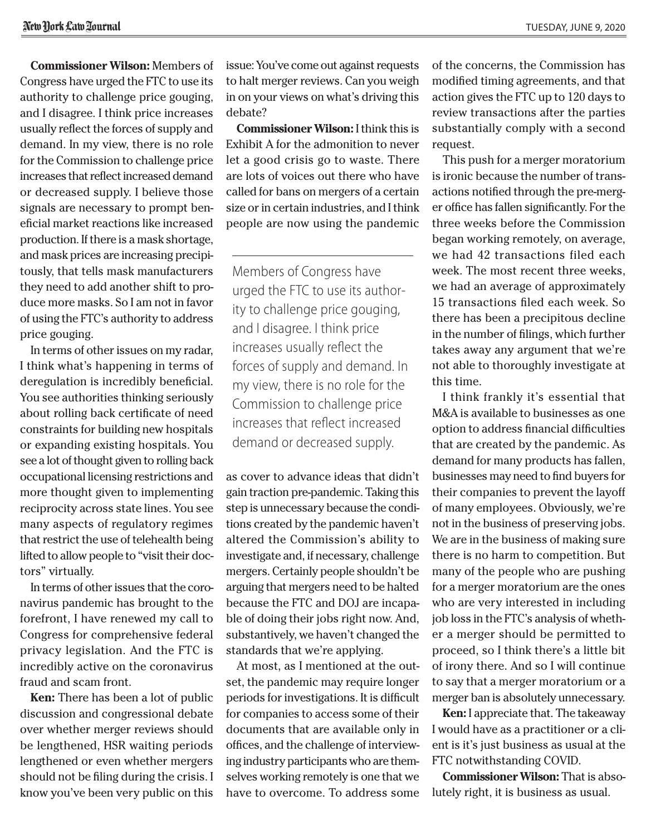**Commissioner Wilson:** Members of Congress have urged the FTC to use its authority to challenge price gouging, and I disagree. I think price increases usually reflect the forces of supply and demand. In my view, there is no role for the Commission to challenge price increases that reflect increased demand or decreased supply. I believe those signals are necessary to prompt beneficial market reactions like increased production. If there is a mask shortage, and mask prices are increasing precipitously, that tells mask manufacturers they need to add another shift to produce more masks. So I am not in favor of using the FTC's authority to address price gouging.

In terms of other issues on my radar, I think what's happening in terms of deregulation is incredibly beneficial. You see authorities thinking seriously about rolling back certificate of need constraints for building new hospitals or expanding existing hospitals. You see a lot of thought given to rolling back occupational licensing restrictions and more thought given to implementing reciprocity across state lines. You see many aspects of regulatory regimes that restrict the use of telehealth being lifted to allow people to "visit their doctors" virtually.

In terms of other issues that the coronavirus pandemic has brought to the forefront, I have renewed my call to Congress for comprehensive federal privacy legislation. And the FTC is incredibly active on the coronavirus fraud and scam front.

**Ken:** There has been a lot of public discussion and congressional debate over whether merger reviews should be lengthened, HSR waiting periods lengthened or even whether mergers should not be filing during the crisis. I know you've been very public on this

issue: You've come out against requests to halt merger reviews. Can you weigh in on your views on what's driving this debate?

**Commissioner Wilson:** I think this is Exhibit A for the admonition to never let a good crisis go to waste. There are lots of voices out there who have called for bans on mergers of a certain size or in certain industries, and I think people are now using the pandemic

Members of Congress have urged the FTC to use its authority to challenge price gouging, and I disagree. I think price increases usually reflect the forces of supply and demand. In my view, there is no role for the Commission to challenge price increases that reflect increased demand or decreased supply.

as cover to advance ideas that didn't gain traction pre-pandemic. Taking this step is unnecessary because the conditions created by the pandemic haven't altered the Commission's ability to investigate and, if necessary, challenge mergers. Certainly people shouldn't be arguing that mergers need to be halted because the FTC and DOJ are incapable of doing their jobs right now. And, substantively, we haven't changed the standards that we're applying.

At most, as I mentioned at the outset, the pandemic may require longer periods for investigations. It is difficult for companies to access some of their documents that are available only in offices, and the challenge of interviewing industry participants who are themselves working remotely is one that we have to overcome. To address some of the concerns, the Commission has modified timing agreements, and that action gives the FTC up to 120 days to review transactions after the parties substantially comply with a second request.

This push for a merger moratorium is ironic because the number of transactions notified through the pre-merger office has fallen significantly. For the three weeks before the Commission began working remotely, on average, we had 42 transactions filed each week. The most recent three weeks, we had an average of approximately 15 transactions filed each week. So there has been a precipitous decline in the number of filings, which further takes away any argument that we're not able to thoroughly investigate at this time.

I think frankly it's essential that M&A is available to businesses as one option to address financial difficulties that are created by the pandemic. As demand for many products has fallen, businesses may need to find buyers for their companies to prevent the layoff of many employees. Obviously, we're not in the business of preserving jobs. We are in the business of making sure there is no harm to competition. But many of the people who are pushing for a merger moratorium are the ones who are very interested in including job loss in the FTC's analysis of whether a merger should be permitted to proceed, so I think there's a little bit of irony there. And so I will continue to say that a merger moratorium or a merger ban is absolutely unnecessary.

**Ken:** I appreciate that. The takeaway I would have as a practitioner or a client is it's just business as usual at the FTC notwithstanding COVID.

**Commissioner Wilson:** That is absolutely right, it is business as usual.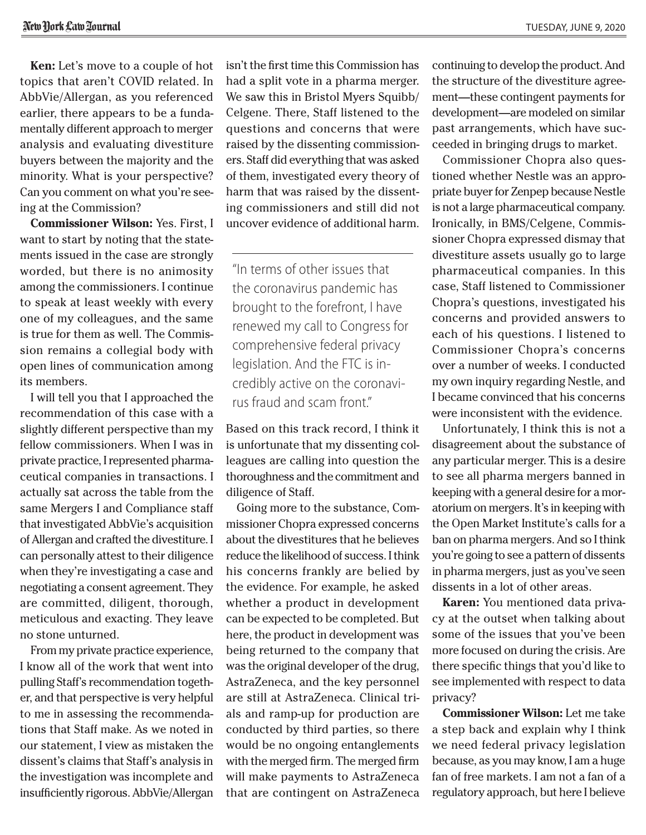**Ken:** Let's move to a couple of hot topics that aren't COVID related. In AbbVie/Allergan, as you referenced earlier, there appears to be a fundamentally different approach to merger analysis and evaluating divestiture buyers between the majority and the minority. What is your perspective? Can you comment on what you're seeing at the Commission?

**Commissioner Wilson:** Yes. First, I want to start by noting that the statements issued in the case are strongly worded, but there is no animosity among the commissioners. I continue to speak at least weekly with every one of my colleagues, and the same is true for them as well. The Commission remains a collegial body with open lines of communication among its members.

I will tell you that I approached the recommendation of this case with a slightly different perspective than my fellow commissioners. When I was in private practice, I represented pharmaceutical companies in transactions. I actually sat across the table from the same Mergers I and Compliance staff that investigated AbbVie's acquisition of Allergan and crafted the divestiture. I can personally attest to their diligence when they're investigating a case and negotiating a consent agreement. They are committed, diligent, thorough, meticulous and exacting. They leave no stone unturned.

From my private practice experience, I know all of the work that went into pulling Staff's recommendation together, and that perspective is very helpful to me in assessing the recommendations that Staff make. As we noted in our statement, I view as mistaken the dissent's claims that Staff's analysis in the investigation was incomplete and insufficiently rigorous. AbbVie/Allergan isn't the first time this Commission has had a split vote in a pharma merger. We saw this in Bristol Myers Squibb/ Celgene. There, Staff listened to the questions and concerns that were raised by the dissenting commissioners. Staff did everything that was asked of them, investigated every theory of harm that was raised by the dissenting commissioners and still did not uncover evidence of additional harm.

"In terms of other issues that the coronavirus pandemic has brought to the forefront, I have renewed my call to Congress for comprehensive federal privacy legislation. And the FTC is incredibly active on the coronavirus fraud and scam front."

Based on this track record, I think it is unfortunate that my dissenting colleagues are calling into question the thoroughness and the commitment and diligence of Staff.

Going more to the substance, Commissioner Chopra expressed concerns about the divestitures that he believes reduce the likelihood of success. I think his concerns frankly are belied by the evidence. For example, he asked whether a product in development can be expected to be completed. But here, the product in development was being returned to the company that was the original developer of the drug, AstraZeneca, and the key personnel are still at AstraZeneca. Clinical trials and ramp-up for production are conducted by third parties, so there would be no ongoing entanglements with the merged firm. The merged firm will make payments to AstraZeneca that are contingent on AstraZeneca continuing to develop the product. And the structure of the divestiture agreement—these contingent payments for development—are modeled on similar past arrangements, which have succeeded in bringing drugs to market.

Commissioner Chopra also questioned whether Nestle was an appropriate buyer for Zenpep because Nestle is not a large pharmaceutical company. Ironically, in BMS/Celgene, Commissioner Chopra expressed dismay that divestiture assets usually go to large pharmaceutical companies. In this case, Staff listened to Commissioner Chopra's questions, investigated his concerns and provided answers to each of his questions. I listened to Commissioner Chopra's concerns over a number of weeks. I conducted my own inquiry regarding Nestle, and I became convinced that his concerns were inconsistent with the evidence.

Unfortunately, I think this is not a disagreement about the substance of any particular merger. This is a desire to see all pharma mergers banned in keeping with a general desire for a moratorium on mergers. It's in keeping with the Open Market Institute's calls for a ban on pharma mergers. And so I think you're going to see a pattern of dissents in pharma mergers, just as you've seen dissents in a lot of other areas.

**Karen:** You mentioned data privacy at the outset when talking about some of the issues that you've been more focused on during the crisis. Are there specific things that you'd like to see implemented with respect to data privacy?

**Commissioner Wilson:** Let me take a step back and explain why I think we need federal privacy legislation because, as you may know, I am a huge fan of free markets. I am not a fan of a regulatory approach, but here I believe